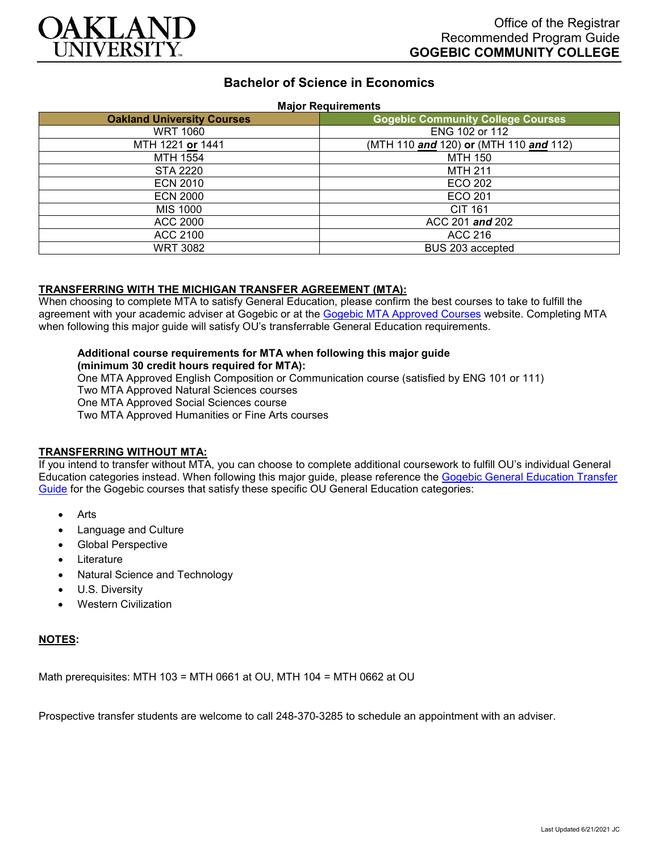

# **Bachelor of Science in Economics**

#### **Major Requirements**

| <b>Oakland University Courses</b> | <b>Gogebic Community College Courses</b> |
|-----------------------------------|------------------------------------------|
| <b>WRT 1060</b>                   | ENG 102 or 112                           |
| MTH 1221 or 1441                  | (MTH 110 and 120) or (MTH 110 and 112)   |
| MTH 1554                          | <b>MTH 150</b>                           |
| STA 2220                          | <b>MTH 211</b>                           |
| <b>ECN 2010</b>                   | ECO 202                                  |
| <b>ECN 2000</b>                   | ECO 201                                  |
| MIS 1000                          | <b>CIT 161</b>                           |
| ACC 2000                          | ACC 201 and 202                          |
| ACC 2100                          | ACC 216                                  |
| <b>WRT 3082</b>                   | BUS 203 accepted                         |

### **TRANSFERRING WITH THE MICHIGAN TRANSFER AGREEMENT (MTA):**

When choosing to complete MTA to satisfy General Education, please confirm the best courses to take to fulfill the agreement with your academic adviser at Gogebic or at the [Gogebic MTA Approved Courses](https://www.gogebic.edu/Academics/transferinformation.html) website. Completing MTA when following this major guide will satisfy OU's transferrable General Education requirements.

### **Additional course requirements for MTA when following this major guide**

**(minimum 30 credit hours required for MTA):**

One MTA Approved English Composition or Communication course (satisfied by ENG 101 or 111) Two MTA Approved Natural Sciences courses One MTA Approved Social Sciences course Two MTA Approved Humanities or Fine Arts courses

#### **TRANSFERRING WITHOUT MTA:**

If you intend to transfer without MTA, you can choose to complete additional coursework to fulfill OU's individual General Education categories instead. When following this major guide, please reference the [Gogebic General Education Transfer](https://www.oakland.edu/Assets/Oakland/program-guides/gogebic-community-college/university-general-education-requirements/Gogebic%20Gen%20Ed.pdf)  [Guide](https://www.oakland.edu/Assets/Oakland/program-guides/gogebic-community-college/university-general-education-requirements/Gogebic%20Gen%20Ed.pdf) for the Gogebic courses that satisfy these specific OU General Education categories:

- Arts
- Language and Culture
- Global Perspective
- **Literature**
- Natural Science and Technology
- U.S. Diversity
- Western Civilization

#### **NOTES:**

Math prerequisites: MTH 103 = MTH 0661 at OU, MTH 104 = MTH 0662 at OU

Prospective transfer students are welcome to call 248-370-3285 to schedule an appointment with an adviser.